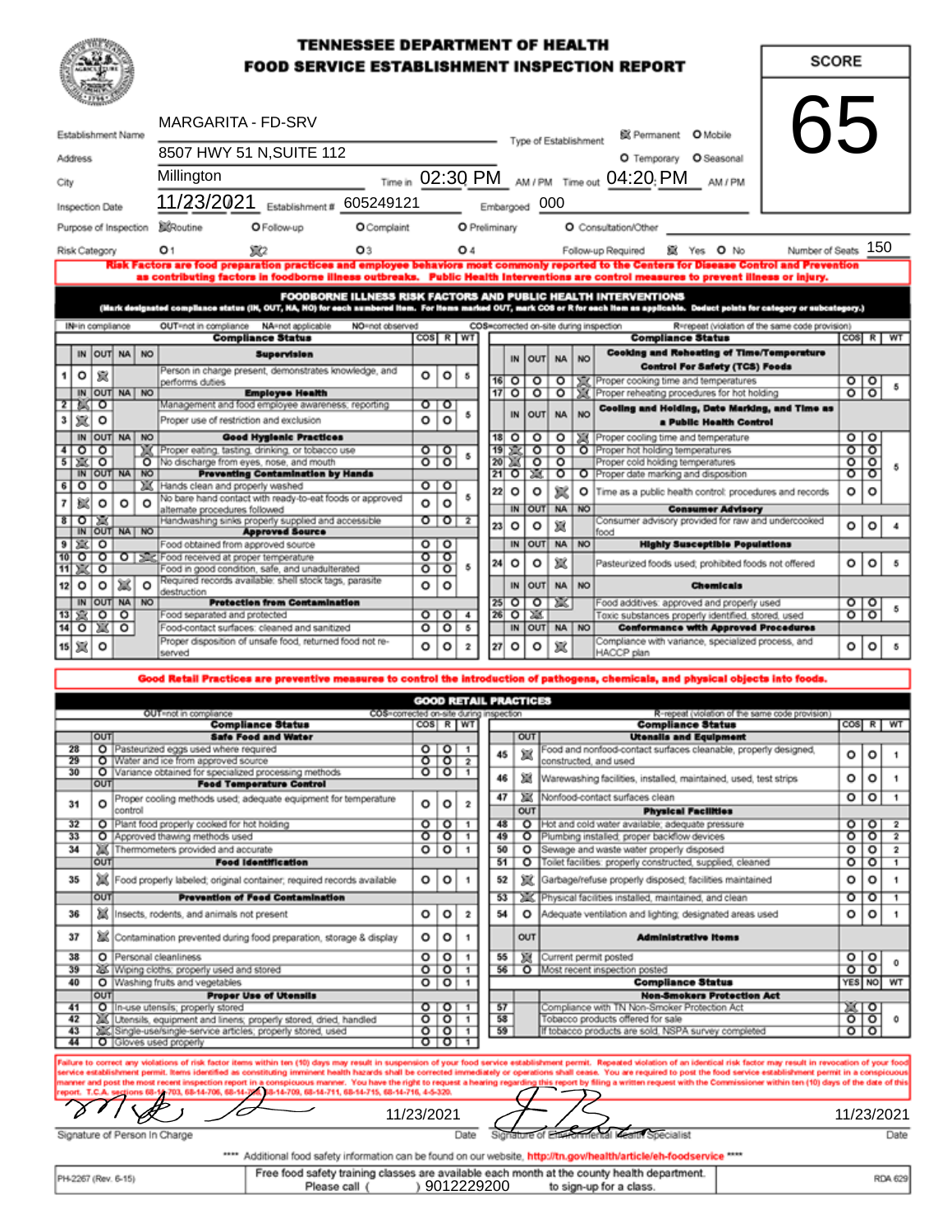### **TENNESSEE DEPARTMENT OF HEALTH FOOD SERVICE ESTABLISHMENT INSPECTION REPORT**

| <b>MARGARITA - FD-SRV</b>                                                                                             |                       |         |                       |                                                                                 |                                                                                                               |                                                                                                           |                                         |                    |                                 |               |                                   |                                                                |                              |              |                                                                                    |                                                                                                                                                                                                                                                                                       |                     |                                |         |                                  |
|-----------------------------------------------------------------------------------------------------------------------|-----------------------|---------|-----------------------|---------------------------------------------------------------------------------|---------------------------------------------------------------------------------------------------------------|-----------------------------------------------------------------------------------------------------------|-----------------------------------------|--------------------|---------------------------------|---------------|-----------------------------------|----------------------------------------------------------------|------------------------------|--------------|------------------------------------------------------------------------------------|---------------------------------------------------------------------------------------------------------------------------------------------------------------------------------------------------------------------------------------------------------------------------------------|---------------------|--------------------------------|---------|----------------------------------|
| Establishment Name                                                                                                    |                       |         |                       | 65<br>@ Permanent O Mobile<br>Type of Establishment<br>8507 HWY 51 N, SUITE 112 |                                                                                                               |                                                                                                           |                                         |                    |                                 |               |                                   |                                                                |                              |              |                                                                                    |                                                                                                                                                                                                                                                                                       |                     |                                |         |                                  |
| <b>Address</b>                                                                                                        |                       |         |                       |                                                                                 | Millington                                                                                                    | O Temporary O Seasonal                                                                                    |                                         |                    |                                 |               |                                   |                                                                |                              |              |                                                                                    |                                                                                                                                                                                                                                                                                       |                     |                                |         |                                  |
| City                                                                                                                  |                       |         |                       |                                                                                 | Time in 02:30 PM AM/PM Time out 04:20; PM<br>AM / PM<br>11/23/2021 Establishment # 605249121<br>Embargoed 000 |                                                                                                           |                                         |                    |                                 |               |                                   |                                                                |                              |              |                                                                                    |                                                                                                                                                                                                                                                                                       |                     |                                |         |                                  |
|                                                                                                                       | Inspection Date       |         |                       |                                                                                 |                                                                                                               |                                                                                                           |                                         |                    |                                 |               |                                   |                                                                |                              |              |                                                                                    |                                                                                                                                                                                                                                                                                       |                     |                                |         |                                  |
|                                                                                                                       |                       |         | Purpose of Inspection |                                                                                 | <b>X</b> Routine                                                                                              | O Follow-up                                                                                               | O Complaint                             |                    |                                 | O Preliminary |                                   |                                                                |                              |              |                                                                                    | O Consultation/Other                                                                                                                                                                                                                                                                  |                     |                                |         |                                  |
|                                                                                                                       | Risk Category         |         |                       |                                                                                 | O 1                                                                                                           | XX2                                                                                                       | O3                                      |                    |                                 | O 4           |                                   |                                                                |                              |              |                                                                                    | Yes O No<br>Follow-up Required                                                                                                                                                                                                                                                        | Number of Seats 150 |                                |         |                                  |
|                                                                                                                       |                       |         |                       |                                                                                 |                                                                                                               |                                                                                                           |                                         |                    |                                 |               |                                   |                                                                |                              |              |                                                                                    | Risk Factors are food preparation practices and employee behaviors most commonly reported to the Centers for Disease Control and Prevention<br>as contributing factors in foodborne illness outbreaks. Public Health Interventions are control measures to prevent illness or injury. |                     |                                |         |                                  |
|                                                                                                                       |                       |         |                       |                                                                                 |                                                                                                               |                                                                                                           |                                         |                    |                                 |               |                                   |                                                                |                              |              |                                                                                    | <b>FOODBORNE ILLNESS RISK FACTORS AND PUBLIC HEALTH INTERVENTIONS</b>                                                                                                                                                                                                                 |                     |                                |         |                                  |
|                                                                                                                       |                       |         |                       |                                                                                 |                                                                                                               |                                                                                                           | NO=not observed                         |                    |                                 |               |                                   |                                                                |                              |              |                                                                                    | (Mark designated compliance status (IN, OUT, NA, NO) for each aumbered item. For items marked OUT, mark COS or R for each item as applicable. Deduct points for category or subcategory.)<br>R=repeat (violation of the same code provision)                                          |                     |                                |         |                                  |
|                                                                                                                       | IN-in compliance      |         |                       |                                                                                 | OUT=not in compliance                                                                                         | NA=not applicable<br><b>Compliance Status</b>                                                             |                                         | COS R WT           |                                 |               |                                   |                                                                |                              |              |                                                                                    | COS=corrected on-site during inspection<br><b>Compliance Status</b>                                                                                                                                                                                                                   |                     |                                |         | $\cos$ $R$ $W$                   |
|                                                                                                                       |                       |         | IN OUT NA NO          |                                                                                 |                                                                                                               | <b>Supervision</b>                                                                                        |                                         |                    |                                 |               |                                   | IN                                                             | <b>OUT</b>                   | <b>NA</b>    | <b>NO</b>                                                                          | <b>Cooking and Reheating of Time/Temperature</b>                                                                                                                                                                                                                                      |                     |                                |         |                                  |
|                                                                                                                       | o                     | 鼠       |                       |                                                                                 | performs duties                                                                                               | Person in charge present, demonstrates knowledge, and                                                     |                                         | o                  | o                               | $\sim$        |                                   | $16$ O                                                         | $\circ$                      | $\circ$      |                                                                                    | <b>Control For Safety (TCS) Foods</b><br>XX Proper cooking time and temperatures                                                                                                                                                                                                      |                     | 위하                             |         |                                  |
|                                                                                                                       | 2 X 0                 |         | IN OUT NA NO          |                                                                                 |                                                                                                               | <b>Employee Health</b><br>Management and food employee awareness; reporting                               |                                         |                    | ०ा०                             |               |                                   | $17$ O                                                         | $\circ$                      |              |                                                                                    | O   XX   Proper reheating procedures for hot holding                                                                                                                                                                                                                                  |                     |                                |         |                                  |
| 3                                                                                                                     | 宸                     | o       |                       |                                                                                 |                                                                                                               | Proper use of restriction and exclusion                                                                   |                                         | o                  | o                               | 5             |                                   | IN                                                             | <b>OUT</b>                   | <b>NA</b>    | <b>NO</b>                                                                          | Cooling and Holding, Date Marking, and Time as<br>a Public Health Control                                                                                                                                                                                                             |                     |                                |         |                                  |
|                                                                                                                       |                       |         | IN OUT NA NO          |                                                                                 |                                                                                                               | <b>Good Hygienic Practices</b>                                                                            |                                         |                    |                                 |               |                                   | $18$ O                                                         | $\circ$                      | о            |                                                                                    | Froper cooling time and temperature                                                                                                                                                                                                                                                   |                     | 0 0                            |         |                                  |
| 4<br>$\overline{5}$                                                                                                   | $\circ$ $\circ$<br>富口 |         |                       |                                                                                 |                                                                                                               | XX Proper eating, tasting, drinking, or tobacco use<br>O No discharge from eyes, nose, and mouth          |                                         |                    | $\circ$ To<br>$\circ$ $\circ$   |               | 20                                | 19 X<br>75                                                     | ᡒ<br>$\overline{\circ}$      | ᡒ<br>$\circ$ |                                                                                    | O Proper hot holding temperatures<br>Proper cold holding temperatures                                                                                                                                                                                                                 |                     | ০াত<br>$\overline{\mathbf{c}}$ | ত       |                                  |
|                                                                                                                       |                       |         | IN OUT NA NO          |                                                                                 |                                                                                                               | <b>Preventing Centamination by Hands</b>                                                                  |                                         |                    |                                 |               |                                   | $21$ O                                                         | 74.                          | ०            |                                                                                    | O Proper date marking and disposition                                                                                                                                                                                                                                                 |                     | ०                              | ा०      |                                  |
| 6                                                                                                                     | ত                     | ৽       |                       |                                                                                 |                                                                                                               | Hands clean and properly washed<br>No bare hand contact with ready-to-eat foods or approved               |                                         |                    | 0 0                             | 5             | 22                                | $\circ$                                                        | o                            | 宸            |                                                                                    | O Time as a public health control: procedures and records                                                                                                                                                                                                                             |                     | ۰                              | $\circ$ |                                  |
| 7                                                                                                                     | 擨                     | $\circ$ | o                     | $\circ$                                                                         | alternate procedures followed                                                                                 |                                                                                                           |                                         | o                  | $\circ$                         |               |                                   | IN                                                             | OUT                          | NA NO        |                                                                                    | <b>Consumer Advisory</b>                                                                                                                                                                                                                                                              |                     |                                |         |                                  |
|                                                                                                                       | ঃ⊺⊙⊺≋⊓                |         | IN OUT NA NO          |                                                                                 |                                                                                                               | Handwashing sinks properly supplied and accessible<br><b>Approved Source</b>                              |                                         |                    | $\sigma$ $\sigma$ $\tau$ $\tau$ |               | 23                                | $\circ$                                                        | o                            | 冦            |                                                                                    | Consumer advisory provided for raw and undercooked<br>food                                                                                                                                                                                                                            |                     | ۰                              | o       |                                  |
|                                                                                                                       | 9 案 0                 |         |                       |                                                                                 |                                                                                                               | Food obtained from approved source                                                                        |                                         |                    | 0 0                             |               |                                   | IN                                                             | <b>OUT</b>                   | <b>NA</b>    | <b>NO</b>                                                                          | <b>Highly Susceptible Populations</b>                                                                                                                                                                                                                                                 |                     |                                |         |                                  |
|                                                                                                                       |                       |         |                       |                                                                                 |                                                                                                               | 10 0 0 0 3 Sc Food received at proper temperature                                                         |                                         |                    | তাত                             |               | 24                                | o                                                              | ۰                            | 塞            |                                                                                    | Pasteurized foods used; prohibited foods not offered                                                                                                                                                                                                                                  |                     | ۰                              | $\circ$ |                                  |
|                                                                                                                       | 11 ※ 0                |         |                       |                                                                                 |                                                                                                               | Food in good condition, safe, and unadulterated<br>Required records available: shell stock tags, parasite |                                         | $\overline{\circ}$ | $\overline{\circ}$              | 5             |                                   |                                                                |                              |              |                                                                                    |                                                                                                                                                                                                                                                                                       |                     |                                |         |                                  |
| 12                                                                                                                    | $\circ$               | $\circ$ | 斌<br>IN OUT NA NO     | $\circ$                                                                         | destruction                                                                                                   | <b>Protection from Contamination</b>                                                                      |                                         | o                  | $\circ$                         |               |                                   | IN<br>$25$ O                                                   | <b>OUT</b><br>$\circ$        | <b>NA</b>    | <b>NO</b><br><b>Chemicals</b><br>XX.<br>Food additives: approved and properly used |                                                                                                                                                                                                                                                                                       |                     | O O                            |         |                                  |
|                                                                                                                       | 13 ছো ০   ০           |         |                       |                                                                                 |                                                                                                               | Food separated and protected                                                                              |                                         |                    | 0 0 4                           |               |                                   | $26$ O                                                         | 23                           |              | Toxic substances properly identified, stored, used                                 |                                                                                                                                                                                                                                                                                       |                     | $\circ$ $\circ$                |         |                                  |
|                                                                                                                       | 14 0 案                |         | o                     |                                                                                 |                                                                                                               | Food-contact surfaces: cleaned and sanitized                                                              |                                         | o                  | $\circ$                         | 5             |                                   | OUT NA NO<br>IN<br><b>Conformance with Approved Procedures</b> |                              |              |                                                                                    |                                                                                                                                                                                                                                                                                       |                     |                                |         |                                  |
|                                                                                                                       | 15 观                  | $\circ$ |                       |                                                                                 | served                                                                                                        | Proper disposition of unsafe food, returned food not re-                                                  |                                         |                    |                                 |               |                                   |                                                                | 0   0   2    27  0   0   赏   |              |                                                                                    | Compliance with variance, specialized process, and<br>HACCP plan                                                                                                                                                                                                                      |                     | 0 0                            |         | 5                                |
|                                                                                                                       |                       |         |                       |                                                                                 |                                                                                                               |                                                                                                           |                                         |                    |                                 |               |                                   |                                                                |                              |              |                                                                                    |                                                                                                                                                                                                                                                                                       |                     |                                |         |                                  |
|                                                                                                                       |                       |         |                       |                                                                                 |                                                                                                               |                                                                                                           |                                         |                    |                                 |               |                                   |                                                                |                              |              |                                                                                    | Good Retail Practices are preventive measures to control the introduction of pathogens, chemicals, and physical objects into foods.                                                                                                                                                   |                     |                                |         |                                  |
|                                                                                                                       |                       |         |                       |                                                                                 | OUT=not in compliance                                                                                         |                                                                                                           | COS=corrected on-site during inspection |                    |                                 |               |                                   |                                                                | <b>GOOD RETAIL PRACTICES</b> |              |                                                                                    | R-repeat (violation of the same code provision)                                                                                                                                                                                                                                       |                     |                                |         |                                  |
|                                                                                                                       |                       |         |                       |                                                                                 |                                                                                                               | <b>Compliance Status</b>                                                                                  |                                         |                    | COS R WT                        |               |                                   |                                                                |                              |              |                                                                                    | <b>Compliance Status</b>                                                                                                                                                                                                                                                              |                     |                                |         | COS R WT                         |
|                                                                                                                       | 28                    | OUT     |                       |                                                                                 | O Pasteurized eggs used where required                                                                        | <b>Safe Food and Water</b>                                                                                |                                         |                    | 0 0 1                           |               |                                   |                                                                | OUT                          |              |                                                                                    | <b>Utensils and Equipment</b><br>Food and nonfood-contact surfaces cleanable, properly designed,                                                                                                                                                                                      |                     |                                |         |                                  |
|                                                                                                                       | 29                    |         |                       |                                                                                 | O Water and ice from approved source                                                                          |                                                                                                           |                                         |                    | 0 0 2                           |               | 45                                |                                                                | 冦                            |              |                                                                                    | constructed, and used                                                                                                                                                                                                                                                                 |                     | o                              | o       | 1                                |
|                                                                                                                       | 30                    | OUT     |                       |                                                                                 |                                                                                                               | O Variance obtained for specialized processing methods<br><b>Food Temperature Control</b>                 |                                         |                    | 0 0 1                           |               | 46                                |                                                                | 戀                            |              |                                                                                    | Warewashing facilities, installed, maintained, used, test strips                                                                                                                                                                                                                      |                     | ٥                              | ۰       | 1                                |
|                                                                                                                       | 31                    | o       |                       |                                                                                 |                                                                                                               | Proper cooling methods used; adequate equipment for temperature                                           |                                         | o                  | o                               | 2             | 47                                |                                                                | 寒                            |              |                                                                                    | Nonfood-contact surfaces clean                                                                                                                                                                                                                                                        |                     | o                              | $\circ$ | 1                                |
|                                                                                                                       |                       |         | lotingo               |                                                                                 |                                                                                                               |                                                                                                           |                                         |                    |                                 |               |                                   |                                                                | OUT                          |              |                                                                                    | <b>Physical Facilities</b>                                                                                                                                                                                                                                                            |                     |                                |         |                                  |
|                                                                                                                       | 32<br>33              |         |                       |                                                                                 | O Approved thawing methods used                                                                               | O Plant food properly cooked for hot holding                                                              |                                         | $\circ$<br>ᡒ       | $\overline{\circ}$<br>$\circ$   | 1<br>1        | 48<br>49                          |                                                                | $\circ$ 1<br>$\circ$         |              |                                                                                    | Hot and cold water available; adequate pressure<br>Plumbing installed; proper backflow devices                                                                                                                                                                                        |                     | ०ा०<br>۰                       | ত       | $\overline{2}$<br>$\overline{2}$ |
|                                                                                                                       | 34                    |         |                       |                                                                                 | Thermometers provided and accurate                                                                            |                                                                                                           |                                         | o                  | $\circ$                         | 1             | 50                                |                                                                | o                            |              |                                                                                    | Sewage and waste water properly disposed                                                                                                                                                                                                                                              |                     | ٥                              | $\circ$ | $\overline{2}$                   |
|                                                                                                                       |                       | OUT     |                       |                                                                                 |                                                                                                               | <b>Food Identification</b>                                                                                |                                         |                    |                                 |               | 51                                |                                                                | ०                            |              |                                                                                    | Toilet facilities: properly constructed, supplied, cleaned                                                                                                                                                                                                                            |                     | ٥                              | ा       | 1                                |
|                                                                                                                       | 35                    |         |                       |                                                                                 |                                                                                                               | Food property labeled; original container; required records available                                     |                                         | o                  | o                               | -1            | 52                                |                                                                | 寇                            |              |                                                                                    | Garbage/refuse properly disposed; facilities maintained                                                                                                                                                                                                                               |                     | ٥                              | ٥       | 1.                               |
|                                                                                                                       |                       | OUT     |                       |                                                                                 |                                                                                                               | <b>Prevention of Feed Contamination</b>                                                                   |                                         |                    |                                 |               | 53                                |                                                                |                              |              |                                                                                    | Physical facilities installed, maintained, and clean                                                                                                                                                                                                                                  |                     | о                              | ○       | $\mathbf{1}$                     |
|                                                                                                                       | 篇<br>36               |         |                       | Insects, rodents, and animals not present                                       |                                                                                                               |                                                                                                           | ۰                                       | o                  | 2                               | 54            |                                   | o                                                              |                              |              | Adequate ventilation and lighting; designated areas used                           |                                                                                                                                                                                                                                                                                       | ٥                   | o                              | 1       |                                  |
|                                                                                                                       | 37                    |         |                       |                                                                                 |                                                                                                               | Contamination prevented during food preparation, storage & display                                        |                                         | ۰                  | o                               | 1             |                                   |                                                                | OUT                          |              |                                                                                    | <b>Administrative Items</b>                                                                                                                                                                                                                                                           |                     |                                |         |                                  |
|                                                                                                                       | 38<br>39              |         |                       |                                                                                 | O Personal cleanliness<br>25 Wiping cloths; properly used and stored                                          |                                                                                                           |                                         | o<br>ᢆ             | $\circ$<br>०                    | 1<br>-1       | 55<br>56                          |                                                                | <b>SUE</b>                   |              |                                                                                    | Current permit posted<br>O Most recent inspection posted                                                                                                                                                                                                                              |                     | 0   0<br>$\circ$ $\circ$       |         |                                  |
|                                                                                                                       | 40                    |         |                       |                                                                                 | O Washing fruits and vegetables                                                                               |                                                                                                           |                                         |                    | 0 0 1                           |               |                                   |                                                                |                              |              |                                                                                    | <b>Compliance Status</b>                                                                                                                                                                                                                                                              |                     |                                |         | YES NO WT                        |
|                                                                                                                       |                       | OUT     |                       |                                                                                 |                                                                                                               | <b>Proper Use of Utensils</b>                                                                             |                                         |                    | 0 0 1                           |               | 57                                |                                                                |                              |              |                                                                                    | <b>Non-Smokers Protection Act</b><br>Compliance with TN Non-Smoker Protection Act                                                                                                                                                                                                     |                     | $\mathbb{Z} \cap \mathbb{C}$   |         |                                  |
| O lin-use utensils; properly stored<br>41<br>42<br>If Utensils, equipment and linens; properly stored, dried, handled |                       |         |                       | $\circ$ $\circ$ $\circ$ $\circ$                                                 |                                                                                                               | 58                                                                                                        |                                         |                    |                                 |               | Tobacco products offered for sale |                                                                | তাতা                         |              | ٥                                                                                  |                                                                                                                                                                                                                                                                                       |                     |                                |         |                                  |
|                                                                                                                       | 43                    |         |                       |                                                                                 |                                                                                                               | Single-use/single-service articles; properly stored, used                                                 |                                         |                    | 0 0 1                           |               | 59                                |                                                                |                              |              |                                                                                    | If tobacco products are sold, NSPA survey completed                                                                                                                                                                                                                                   |                     | $\circ$ $\circ$                |         |                                  |
|                                                                                                                       |                       |         |                       |                                                                                 | 44   O Gloves used properly                                                                                   |                                                                                                           |                                         |                    |                                 |               |                                   |                                                                |                              |              |                                                                                    |                                                                                                                                                                                                                                                                                       |                     |                                |         |                                  |

violations of risk factor items within ten (10) days may result in suspension of your food service establ<br>permit. Items identified as constituting imminent health hazards shall be corrected immediately or opera eated violation of an identical risk factor may result in revocation of your food<br>ou are required to post the food service establishment permit in a conspicuous<br>a written request with the Commissioner within ten (10) days llure to correct any mit. Re fou are n .<br>114-709, 68-14-711, 68-14-715, 68-14-716, 4-5-329.<br>114-709, 68-14-711, 68-14-715, 68-14-716, 4-5-329. urt in

Þ

Signature of Person In Charge

'O

 $\frac{11}{23}{2021}$ Date  $\frac{11}{23}{2021}$ Date Sign

**SCORE** 

Date

\*\*\*\* Additional food safety information can be found on our website, http://tn.gow/health/article/eh-foodservice \*\*\*\*

| PH-2267 (Rev. 6-15) | Free food safety training classes are available each month at the county health department. | RDA 629    |                         |  |
|---------------------|---------------------------------------------------------------------------------------------|------------|-------------------------|--|
|                     | Please call                                                                                 | 9012229200 | to sign-up for a class. |  |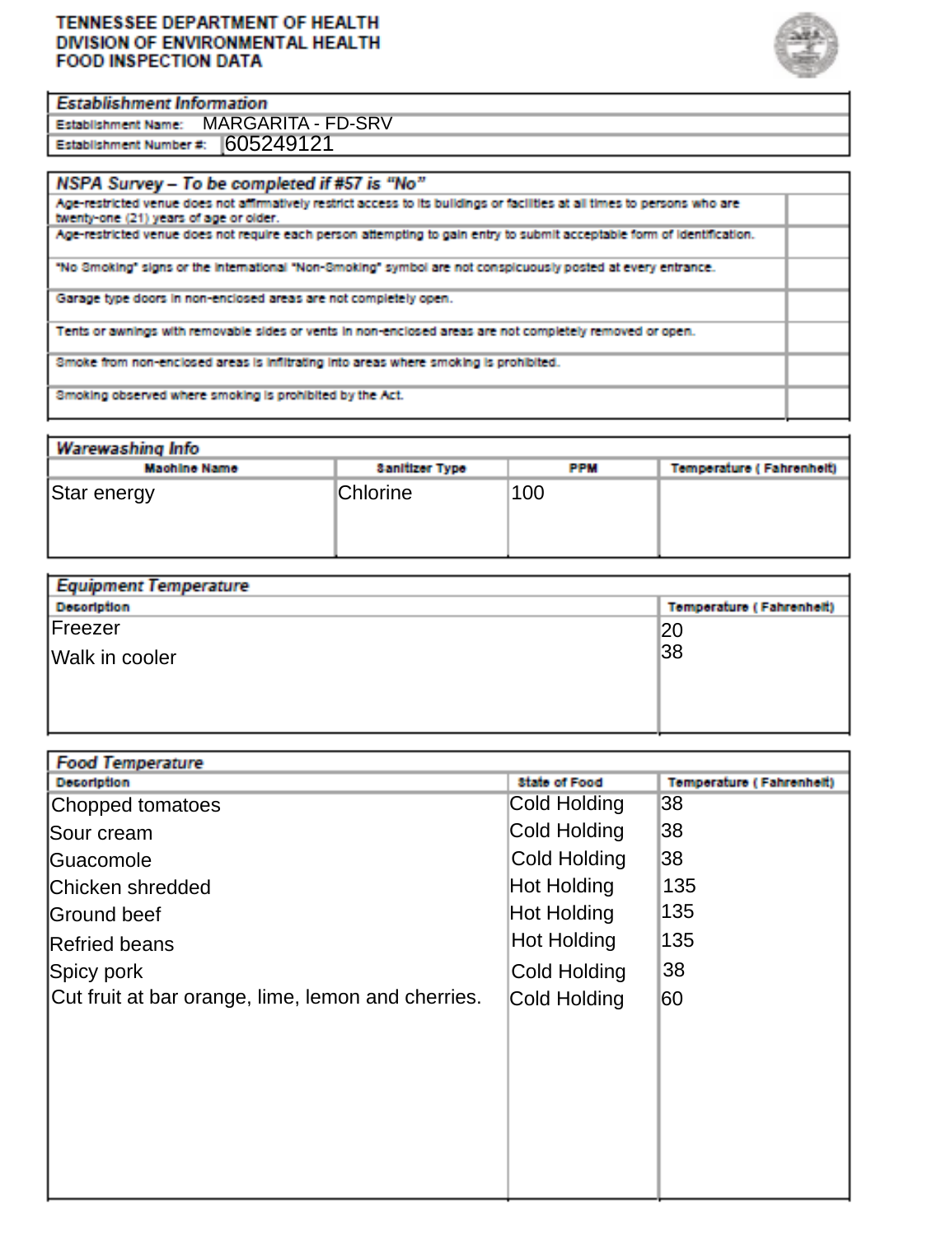#### TENNESSEE DEPARTMENT OF HEALTH DIVISION OF ENVIRONMENTAL HEALTH **FOOD INSPECTION DATA**

 $\overline{}$ ۰. =



\_\_

|                                               | <b>Establishment Information</b> |  |  |  |  |  |  |  |
|-----------------------------------------------|----------------------------------|--|--|--|--|--|--|--|
| <b>Establishment Name: MARGARITA - FD-SRV</b> |                                  |  |  |  |  |  |  |  |
| Establishment Number #: 605249121             |                                  |  |  |  |  |  |  |  |

| Warewashing Info    |                       |            |                          |  |  |  |  |  |  |  |
|---------------------|-----------------------|------------|--------------------------|--|--|--|--|--|--|--|
| <b>Machine Name</b> | <b>Sanitizer Type</b> | <b>PPM</b> | Temperature (Fahrenheit) |  |  |  |  |  |  |  |
| Star energy         | <b>Chlorine</b>       | 100        |                          |  |  |  |  |  |  |  |

| Equipment lemperature |                                 |  |  |  |  |
|-----------------------|---------------------------------|--|--|--|--|
| <b>Decoription</b>    | <b>Temperature (Fahrenheit)</b> |  |  |  |  |
| Freezer               | 20                              |  |  |  |  |
| Walk in cooler        | 38                              |  |  |  |  |
|                       |                                 |  |  |  |  |
|                       |                                 |  |  |  |  |

| <b>Food Temperature</b>                            |                      |                          |
|----------------------------------------------------|----------------------|--------------------------|
| <b>Decoription</b>                                 | <b>State of Food</b> | Temperature (Fahrenheit) |
| Chopped tomatoes                                   | Cold Holding         | 38                       |
| Sour cream                                         | Cold Holding         | 38                       |
| Guacomole                                          | Cold Holding         | 38                       |
| Chicken shredded                                   | Hot Holding          | 135                      |
| Ground beef                                        | Hot Holding          | 135                      |
| Refried beans                                      | <b>Hot Holding</b>   | 135                      |
| Spicy pork                                         | Cold Holding         | 38                       |
| Cut fruit at bar orange, lime, lemon and cherries. | Cold Holding         | 60                       |
|                                                    |                      |                          |
|                                                    |                      |                          |
|                                                    |                      |                          |
|                                                    |                      |                          |
|                                                    |                      |                          |
|                                                    |                      |                          |
|                                                    |                      |                          |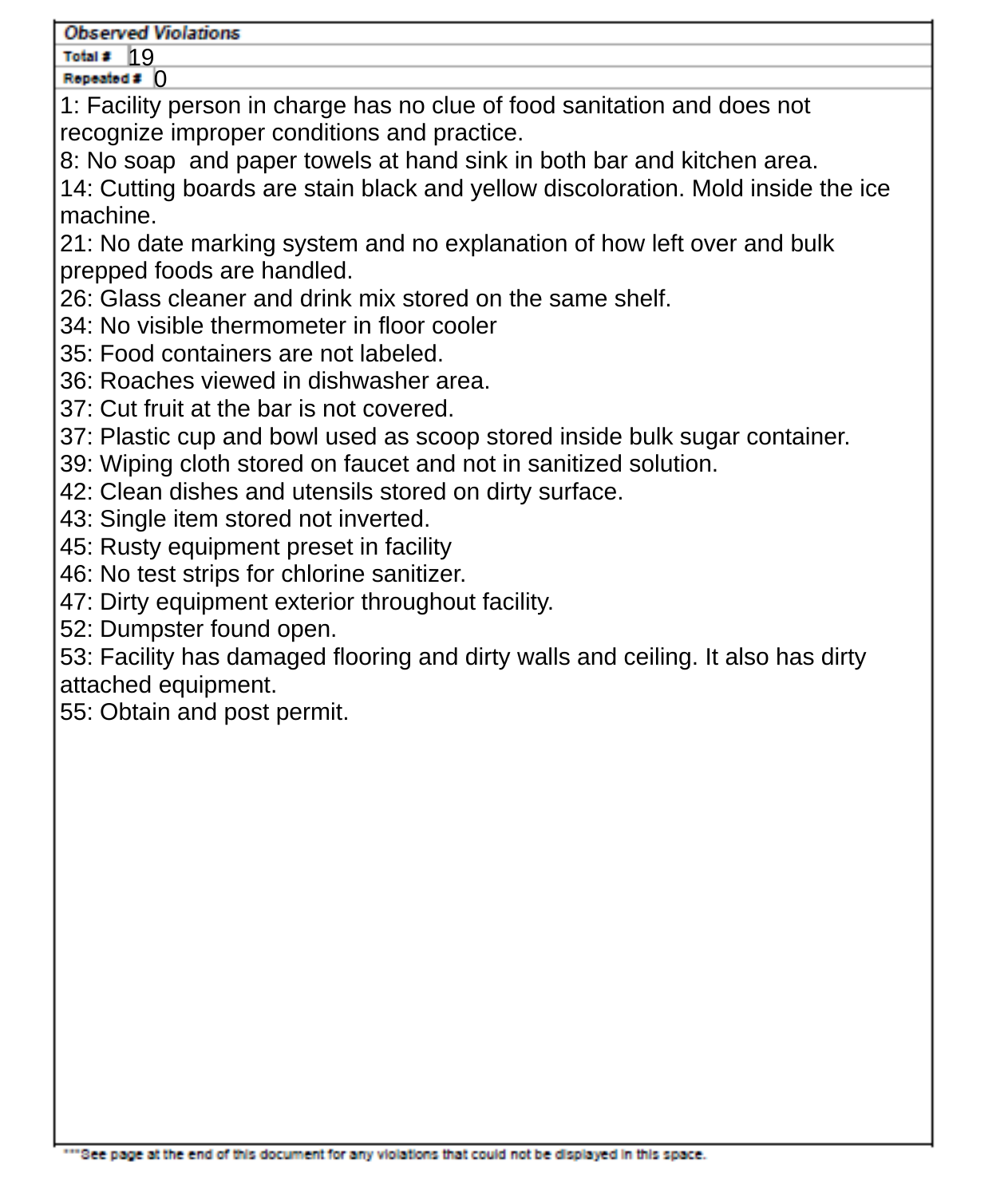Total #  $19$ Repeated # 0

1: Facility person in charge has no clue of food sanitation and does not recognize improper conditions and practice.

8: No soap and paper towels at hand sink in both bar and kitchen area. 14: Cutting boards are stain black and yellow discoloration. Mold inside the ice machine.

21: No date marking system and no explanation of how left over and bulk prepped foods are handled.

26: Glass cleaner and drink mix stored on the same shelf.

- 34: No visible thermometer in floor cooler
- 35: Food containers are not labeled.
- 36: Roaches viewed in dishwasher area.
- 37: Cut fruit at the bar is not covered.
- 37: Plastic cup and bowl used as scoop stored inside bulk sugar container.
- 39: Wiping cloth stored on faucet and not in sanitized solution.
- 42: Clean dishes and utensils stored on dirty surface.
- 43: Single item stored not inverted.
- 45: Rusty equipment preset in facility
- 46: No test strips for chlorine sanitizer.
- 47: Dirty equipment exterior throughout facility.
- 52: Dumpster found open.

53: Facility has damaged flooring and dirty walls and ceiling. It also has dirty attached equipment.

55: Obtain and post permit.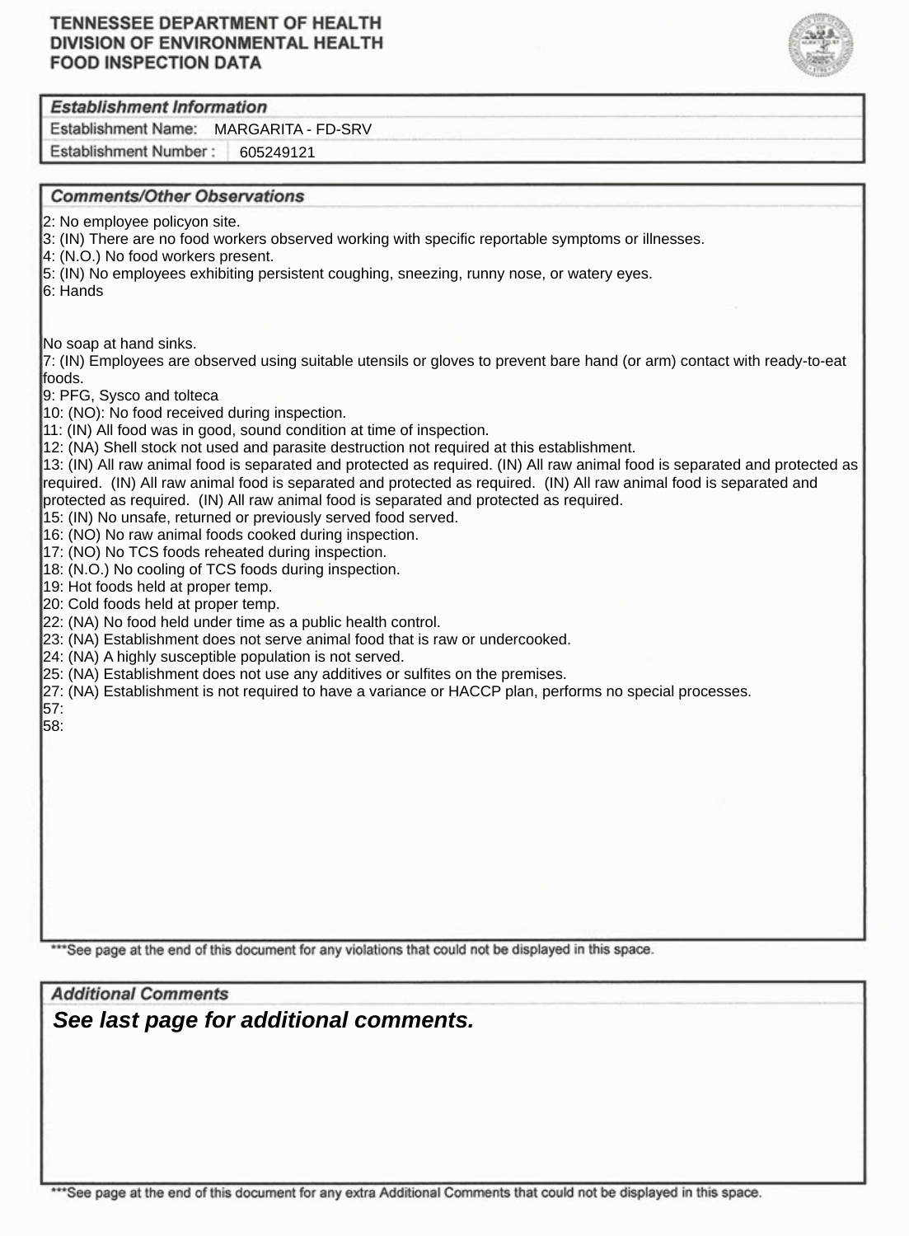### **TENNESSEE DEPARTMENT OF HEALTH** DIVISION OF ENVIRONMENTAL HEALTH **FOOD INSPECTION DATA**



### **Establishment Information**

Establishment Name: MARGARITA - FD-SRV

Establishment Number: 605249121

# **Comments/Other Observations** 2: No employee policyon site. 3: (IN) There are no food workers observed working with specific reportable symptoms or illnesses. 4: (N.O.) No food workers present. 5: (IN) No employees exhibiting persistent coughing, sneezing, runny nose, or watery eyes. 6: Hands No soap at hand sinks. 7: (IN) Employees are observed using suitable utensils or gloves to prevent bare hand (or arm) contact with ready-to-eat foods. 9: PFG, Sysco and tolteca 10: (NO): No food received during inspection. 11: (IN) All food was in good, sound condition at time of inspection. 12: (NA) Shell stock not used and parasite destruction not required at this establishment. 13: (IN) All raw animal food is separated and protected as required. (IN) All raw animal food is separated and protected as required. (IN) All raw animal food is separated and protected as required. (IN) All raw animal food is separated and protected as required. (IN) All raw animal food is separated and protected as required. 15: (IN) No unsafe, returned or previously served food served. 16: (NO) No raw animal foods cooked during inspection. 17: (NO) No TCS foods reheated during inspection. 18: (N.O.) No cooling of TCS foods during inspection. 19: Hot foods held at proper temp. 20: Cold foods held at proper temp. 22: (NA) No food held under time as a public health control. 23: (NA) Establishment does not serve animal food that is raw or undercooked. 24: (NA) A highly susceptible population is not served. 25: (NA) Establishment does not use any additives or sulfites on the premises. 27: (NA) Establishment is not required to have a variance or HACCP plan, performs no special processes. 57: 58:

\*\*\*See page at the end of this document for any violations that could not be displayed in this space.

**Additional Comments** *See last page for additional comments.*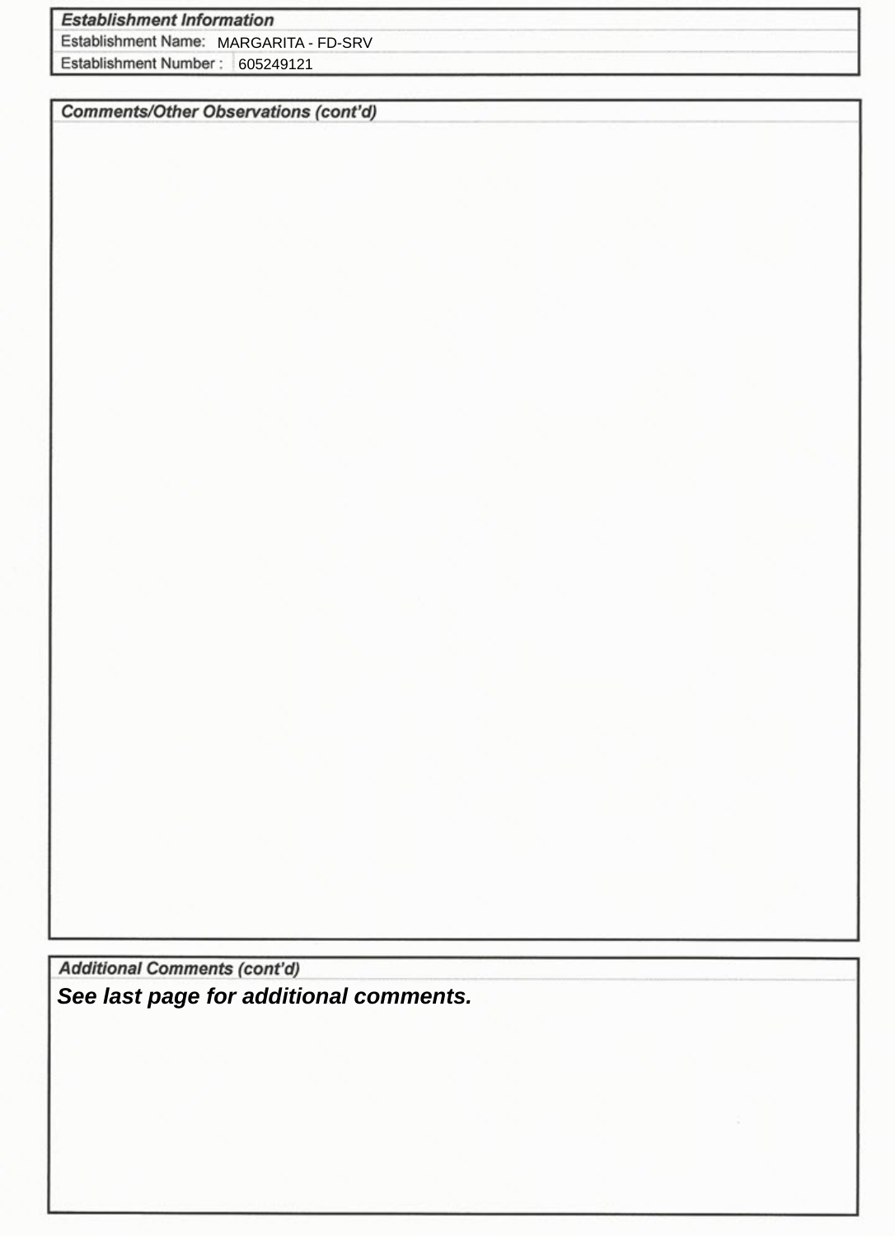# **Establishment Information**

Establishment Name: MARGARITA - FD-SRV

Establishment Number: 605249121

**Comments/Other Observations (cont'd)** 

**Additional Comments (cont'd)** *See last page for additional comments.*